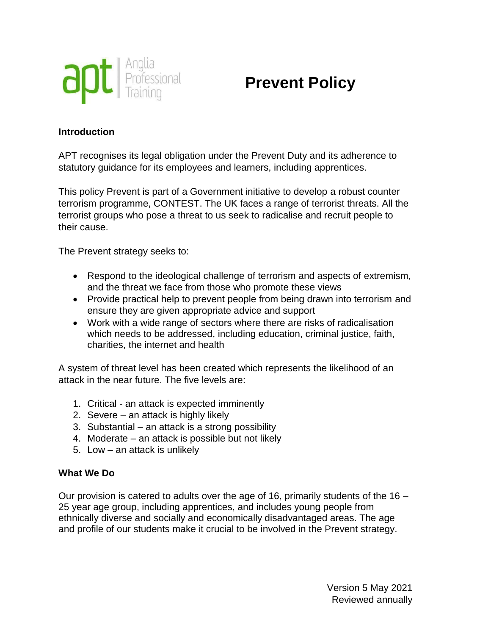

# **Prevent Policy**

#### **Introduction**

APT recognises its legal obligation under the Prevent Duty and its adherence to statutory guidance for its employees and learners, including apprentices.

This policy Prevent is part of a Government initiative to develop a robust counter terrorism programme, CONTEST. The UK faces a range of terrorist threats. All the terrorist groups who pose a threat to us seek to radicalise and recruit people to their cause.

The Prevent strategy seeks to:

- Respond to the ideological challenge of terrorism and aspects of extremism, and the threat we face from those who promote these views
- Provide practical help to prevent people from being drawn into terrorism and ensure they are given appropriate advice and support
- Work with a wide range of sectors where there are risks of radicalisation which needs to be addressed, including education, criminal justice, faith, charities, the internet and health

A system of threat level has been created which represents the likelihood of an attack in the near future. The five levels are:

- 1. Critical an attack is expected imminently
- 2. Severe an attack is highly likely
- 3. Substantial an attack is a strong possibility
- 4. Moderate an attack is possible but not likely
- 5. Low an attack is unlikely

#### **What We Do**

Our provision is catered to adults over the age of 16, primarily students of the  $16 -$ 25 year age group, including apprentices, and includes young people from ethnically diverse and socially and economically disadvantaged areas. The age and profile of our students make it crucial to be involved in the Prevent strategy.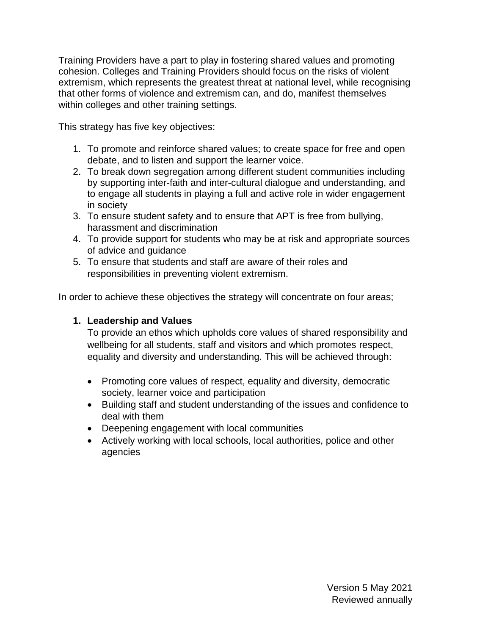Training Providers have a part to play in fostering shared values and promoting cohesion. Colleges and Training Providers should focus on the risks of violent extremism, which represents the greatest threat at national level, while recognising that other forms of violence and extremism can, and do, manifest themselves within colleges and other training settings.

This strategy has five key objectives:

- 1. To promote and reinforce shared values; to create space for free and open debate, and to listen and support the learner voice.
- 2. To break down segregation among different student communities including by supporting inter-faith and inter-cultural dialogue and understanding, and to engage all students in playing a full and active role in wider engagement in society
- 3. To ensure student safety and to ensure that APT is free from bullying, harassment and discrimination
- 4. To provide support for students who may be at risk and appropriate sources of advice and guidance
- 5. To ensure that students and staff are aware of their roles and responsibilities in preventing violent extremism.

In order to achieve these objectives the strategy will concentrate on four areas;

## **1. Leadership and Values**

To provide an ethos which upholds core values of shared responsibility and wellbeing for all students, staff and visitors and which promotes respect, equality and diversity and understanding. This will be achieved through:

- Promoting core values of respect, equality and diversity, democratic society, learner voice and participation
- Building staff and student understanding of the issues and confidence to deal with them
- Deepening engagement with local communities
- Actively working with local schools, local authorities, police and other agencies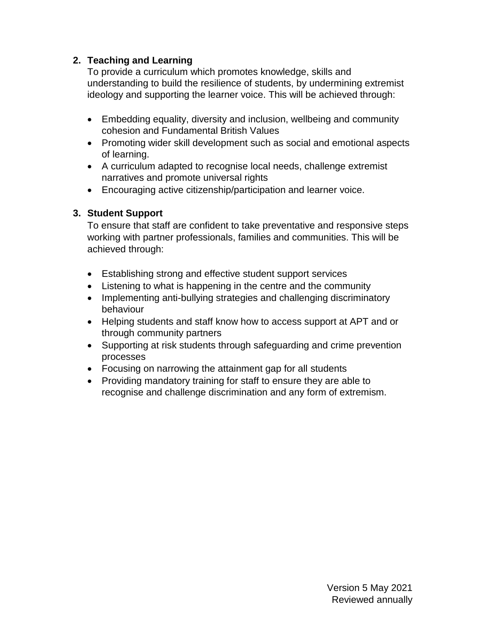### **2. Teaching and Learning**

To provide a curriculum which promotes knowledge, skills and understanding to build the resilience of students, by undermining extremist ideology and supporting the learner voice. This will be achieved through:

- Embedding equality, diversity and inclusion, wellbeing and community cohesion and Fundamental British Values
- Promoting wider skill development such as social and emotional aspects of learning.
- A curriculum adapted to recognise local needs, challenge extremist narratives and promote universal rights
- Encouraging active citizenship/participation and learner voice.

## **3. Student Support**

To ensure that staff are confident to take preventative and responsive steps working with partner professionals, families and communities. This will be achieved through:

- Establishing strong and effective student support services
- Listening to what is happening in the centre and the community
- Implementing anti-bullying strategies and challenging discriminatory behaviour
- Helping students and staff know how to access support at APT and or through community partners
- Supporting at risk students through safeguarding and crime prevention processes
- Focusing on narrowing the attainment gap for all students
- Providing mandatory training for staff to ensure they are able to recognise and challenge discrimination and any form of extremism.